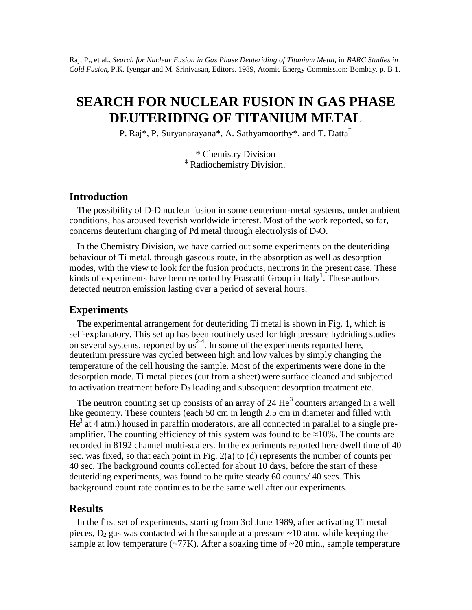Raj, P., et al., *Search for Nuclear Fusion in Gas Phase Deuteriding of Titanium Metal*, in *BARC Studies in Cold Fusion*, P.K. Iyengar and M. Srinivasan, Editors. 1989, Atomic Energy Commission: Bombay. p. B 1.

# **SEARCH FOR NUCLEAR FUSION IN GAS PHASE DEUTERIDING OF TITANIUM METAL**

P. Raj\*, P. Suryanarayana\*, A. Sathyamoorthy\*, and T. Datta‡

\* Chemistry Division ‡ Radiochemistry Division.

## **Introduction**

The possibility of D-D nuclear fusion in some deuterium-metal systems, under ambient conditions, has aroused feverish worldwide interest. Most of the work reported, so far, concerns deuterium charging of Pd metal through electrolysis of  $D_2O$ .

In the Chemistry Division, we have carried out some experiments on the deuteriding behaviour of Ti metal, through gaseous route, in the absorption as well as desorption modes, with the view to look for the fusion products, neutrons in the present case. These kinds of experiments have been reported by Frascatti Group in Italy<sup>1</sup>. These authors detected neutron emission lasting over a period of several hours.

### **Experiments**

The experimental arrangement for deuteriding Ti metal is shown in Fig. 1, which is self-explanatory. This set up has been routinely used for high pressure hydriding studies on several systems, reported by  $us^{2-4}$ . In some of the experiments reported here, deuterium pressure was cycled between high and low values by simply changing the temperature of the cell housing the sample. Most of the experiments were done in the desorption mode. Ti metal pieces (cut from a sheet) were surface cleaned and subjected to activation treatment before  $D_2$  loading and subsequent desorption treatment etc.

The neutron counting set up consists of an array of 24  $\text{He}^3$  counters arranged in a well like geometry. These counters (each 50 cm in length 2.5 cm in diameter and filled with  $He<sup>3</sup>$  at 4 atm.) housed in paraffin moderators, are all connected in parallel to a single preamplifier. The counting efficiency of this system was found to be  $\approx$ 10%. The counts are recorded in 8192 channel multi-scalers. In the experiments reported here dwell time of 40 sec. was fixed, so that each point in Fig. 2(a) to (d) represents the number of counts per 40 sec. The background counts collected for about 10 days, before the start of these deuteriding experiments, was found to be quite steady 60 counts/ 40 secs. This background count rate continues to be the same well after our experiments.

#### **Results**

In the first set of experiments, starting from 3rd June 1989, after activating Ti metal pieces,  $D_2$  gas was contacted with the sample at a pressure  $\sim$ 10 atm. while keeping the sample at low temperature  $\left(\frac{277K}{5}\right)$ . After a soaking time of  $\sim$ 20 min., sample temperature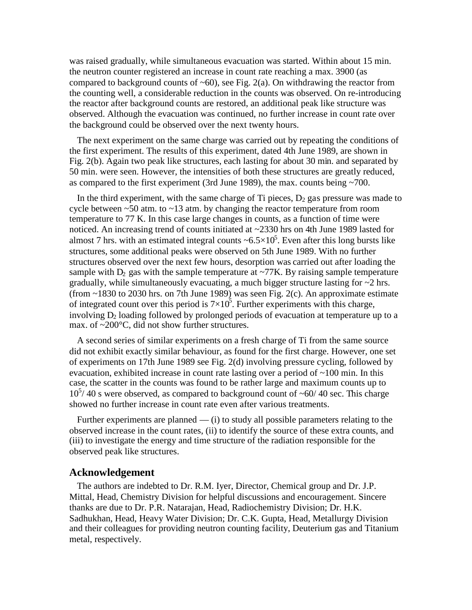was raised gradually, while simultaneous evacuation was started. Within about 15 min. the neutron counter registered an increase in count rate reaching a max. 3900 (as compared to background counts of  $\sim 60$ ), see Fig. 2(a). On withdrawing the reactor from the counting well, a considerable reduction in the counts was observed. On re-introducing the reactor after background counts are restored, an additional peak like structure was observed. Although the evacuation was continued, no further increase in count rate over the background could be observed over the next twenty hours.

The next experiment on the same charge was carried out by repeating the conditions of the first experiment. The results of this experiment, dated 4th June 1989, are shown in Fig. 2(b). Again two peak like structures, each lasting for about 30 min. and separated by 50 min. were seen. However, the intensities of both these structures are greatly reduced, as compared to the first experiment (3rd June 1989), the max. counts being ~700.

In the third experiment, with the same charge of Ti pieces,  $D_2$  gas pressure was made to cycle between  $\sim$  50 atm. to  $\sim$  13 atm. by changing the reactor temperature from room temperature to 77 K. In this case large changes in counts, as a function of time were noticed. An increasing trend of counts initiated at ~2330 hrs on 4th June 1989 lasted for almost 7 hrs. with an estimated integral counts  $\sim 6.5 \times 10^5$ . Even after this long bursts like structures, some additional peaks were observed on 5th June 1989. With no further structures observed over the next few hours, desorption was carried out after loading the sample with  $D_2$  gas with the sample temperature at  $\sim$ 77K. By raising sample temperature gradually, while simultaneously evacuating, a much bigger structure lasting for ~2 hrs. (from  $\sim$ 1830 to 2030 hrs. on 7th June 1989) was seen Fig. 2(c). An approximate estimate of integrated count over this period is  $7\times10^5$ . Further experiments with this charge, involving  $D_2$  loading followed by prolonged periods of evacuation at temperature up to a max. of ~200°C, did not show further structures.

A second series of similar experiments on a fresh charge of Ti from the same source did not exhibit exactly similar behaviour, as found for the first charge. However, one set of experiments on 17th June 1989 see Fig. 2(d) involving pressure cycling, followed by evacuation, exhibited increase in count rate lasting over a period of  $\sim$ 100 min. In this case, the scatter in the counts was found to be rather large and maximum counts up to  $10^{5/40}$  s were observed, as compared to background count of ~60/40 sec. This charge showed no further increase in count rate even after various treatments.

Further experiments are planned — (i) to study all possible parameters relating to the observed increase in the count rates, (ii) to identify the source of these extra counts, and (iii) to investigate the energy and time structure of the radiation responsible for the observed peak like structures.

#### **Acknowledgement**

The authors are indebted to Dr. R.M. Iyer, Director, Chemical group and Dr. J.P. Mittal, Head, Chemistry Division for helpful discussions and encouragement. Sincere thanks are due to Dr. P.R. Natarajan, Head, Radiochemistry Division; Dr. H.K. Sadhukhan, Head, Heavy Water Division; Dr. C.K. Gupta, Head, Metallurgy Division and their colleagues for providing neutron counting facility, Deuterium gas and Titanium metal, respectively.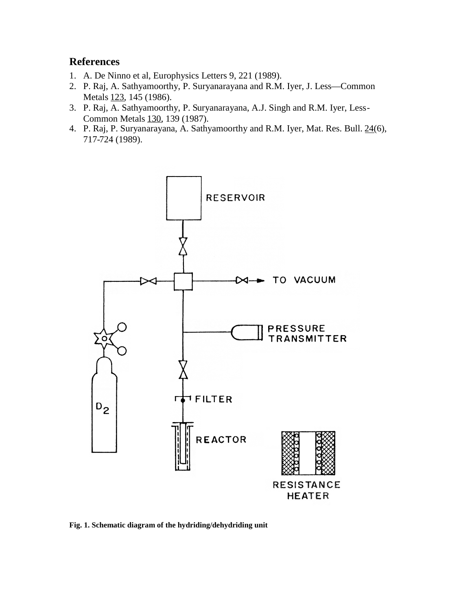# **References**

- 1. A. De Ninno et al, Europhysics Letters 9, 221 (1989).
- 2. P. Raj, A. Sathyamoorthy, P. Suryanarayana and R.M. Iyer, J. Less—Common Metals 123, 145 (1986).
- 3. P. Raj, A. Sathyamoorthy, P. Suryanarayana, A.J. Singh and R.M. Iyer, Less-Common Metals 130, 139 (1987).
- 4. P. Raj, P. Suryanarayana, A. Sathyamoorthy and R.M. Iyer, Mat. Res. Bull. 24(6), 717-724 (1989).



**Fig. 1. Schematic diagram of the hydriding/dehydriding unit**